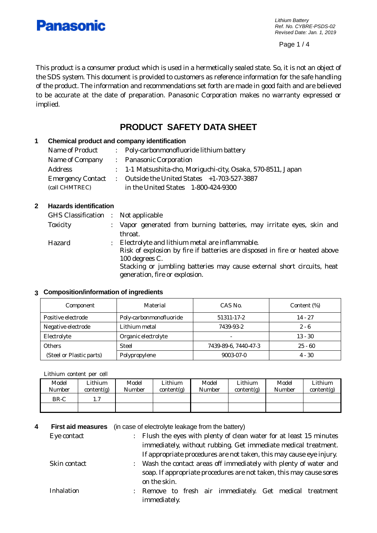

*Lithium Battery Ref. No. CYBRE-PSDS-02 Revised Date: Jan. 1, 2019*

Page 1 / 4

This product is a consumer product which is used in a hermetically sealed state. So, it is not an object of the SDS system. This document is provided to customers as reference information for the safe handling of the product. The information and recommendations set forth are made in good faith and are believed to be accurate at the date of preparation. Panasonic Corporation makes no warranty expressed or implied.

# **PRODUCT SAFETY DATA SHEET**

## **1 Chemical product and company identification**

| Name of Product | : Poly-carbonmonofluoride lithium battery                     |
|-----------------|---------------------------------------------------------------|
| Name of Company | : Panasonic Corporation                                       |
| Address         | : 1-1 Matsushita-cho, Moriguchi-city, Osaka, 570-8511, Japan  |
|                 | Emergency Contact : Outside the United States +1-703-527-3887 |
| (call CHMTREC)  | in the United States 1-800-424-9300                           |

## **2 Hazards identification**

| GHS Classification : Not applicable |   |                                                                                                          |
|-------------------------------------|---|----------------------------------------------------------------------------------------------------------|
| <b>Toxicity</b>                     |   | : Vapor generated from burning batteries, may irritate eyes, skin and                                    |
|                                     |   | throat.                                                                                                  |
| Hazard                              | ÷ | Electrolyte and lithium metal are inflammable.                                                           |
|                                     |   | Risk of explosion by fire if batteries are disposed in fire or heated above                              |
|                                     |   | 100 degrees C.                                                                                           |
|                                     |   | Stacking or jumbling batteries may cause external short circuits, heat<br>generation, fire or explosion. |
|                                     |   |                                                                                                          |

## **3 Composition/information of ingredients**

| Component                | Material                | CAS No.              | Content (%) |
|--------------------------|-------------------------|----------------------|-------------|
| Positive electrode       | Poly-carbonmonofluoride | 51311-17-2           | $14 - 27$   |
| Negative electrode       | Lithium metal           | 7439-93-2            | $2 - 6$     |
| Electrolyte              | Organic electrolyte     |                      | $13 - 30$   |
| <b>Others</b>            | <b>Steel</b>            | 7439-89-6, 7440-47-3 | $25 - 60$   |
| (Steel or Plastic parts) | Polypropylene           | 9003-07-0            | $4 - 30$    |

Lithium content per cell

| Model<br>Number | Lithium<br>content(g) | Model<br>Number | Lithium<br>content(g) | Model<br>Number | Lithium<br>content(g) | Model<br>Number | Lithium<br>content(g) |
|-----------------|-----------------------|-----------------|-----------------------|-----------------|-----------------------|-----------------|-----------------------|
| BR-C            | 1.1                   |                 |                       |                 |                       |                 |                       |
|                 |                       |                 |                       |                 |                       |                 |                       |

**4 First aid measures** (in case of electrolyte leakage from the battery)

| Eye contact  | $\ddot{\phantom{0}}$ | Flush the eyes with plenty of clean water for at least 15 minutes                   |
|--------------|----------------------|-------------------------------------------------------------------------------------|
|              |                      | immediately, without rubbing. Get immediate medical treatment.                      |
|              |                      | If appropriate procedures are not taken, this may cause eye injury.                 |
| Skin contact | $\ddot{\phantom{a}}$ | Wash the contact areas off immediately with plenty of water and                     |
|              |                      | soap. If appropriate procedures are not taken, this may cause sores<br>on the skin. |
| Inhalation   | $\mathbb{R}^n$       | Remove to fresh air immediately. Get medical treatment<br>immediately.              |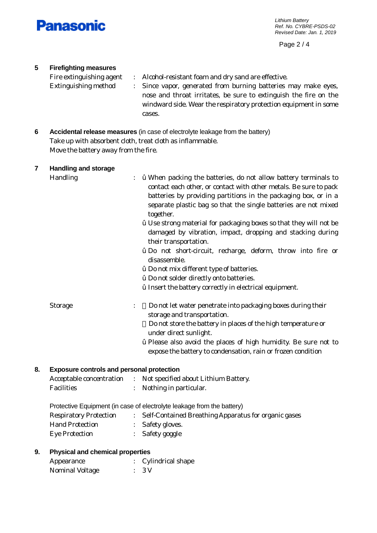

Page 2 / 4

# **5 Firefighting measures**

| Fire extinguishing agent    | : Alcohol-resistant foam and dry sand are effective.                                                                                 |
|-----------------------------|--------------------------------------------------------------------------------------------------------------------------------------|
| <b>Extinguishing method</b> | : Since vapor, generated from burning batteries may make eyes,                                                                       |
|                             | nose and throat irritates, be sure to extinguish the fire on the<br>windward side. Wear the respiratory protection equipment in some |
|                             | cases.                                                                                                                               |

**6 Accidental release measures** (in case of electrolyte leakage from the battery) Take up with absorbent cloth, treat cloth as inflammable. Move the battery away from the fire.

| 7 | Handling and storage |                                                                                                                                                                                                                                                                                                                        |
|---|----------------------|------------------------------------------------------------------------------------------------------------------------------------------------------------------------------------------------------------------------------------------------------------------------------------------------------------------------|
|   | Handling             | <i>i</i> When packing the batteries, do not allow battery terminals to<br>$\ddot{\phantom{a}}$<br>contact each other, or contact with other metals. Be sure to pack<br>batteries by providing partitions in the packaging box, or in a<br>separate plastic bag so that the single batteries are not mixed<br>together. |
|   |                      | <i>i</i> Use strong material for packaging boxes so that they will not be<br>damaged by vibration, impact, dropping and stacking during<br>their transportation.                                                                                                                                                       |
|   |                      | <b>ž</b> Do not short-circuit, recharge, deform, throw into fire or<br>disassemble.                                                                                                                                                                                                                                    |
|   |                      | <i>i</i> Do not mix different type of batteries.                                                                                                                                                                                                                                                                       |
|   |                      | <i>i</i> Do not solder directly onto batteries.                                                                                                                                                                                                                                                                        |
|   |                      | <i>i</i> Insert the battery correctly in electrical equipment.                                                                                                                                                                                                                                                         |
|   | <b>Storage</b>       | Do not let water penetrate into packaging boxes during their<br>$\vdots$<br>storage and transportation.                                                                                                                                                                                                                |
|   |                      | Do not store the battery in places of the high temperature or<br>under direct sunlight.                                                                                                                                                                                                                                |
|   |                      | <i>i</i> Please also avoid the places of high humidity. Be sure not to                                                                                                                                                                                                                                                 |
|   |                      | expose the battery to condensation, rain or frozen condition                                                                                                                                                                                                                                                           |
|   |                      |                                                                                                                                                                                                                                                                                                                        |

## **8. Exposure controls and personal protection**

| Acceptable concentration | : Not specified about Lithium Battery. |
|--------------------------|----------------------------------------|
| Facilities               | Nothing in particular.                 |

Protective Equipment (in case of electrolyte leakage from the battery)

| <b>Respiratory Protection</b> | Self-Contained Breathing Apparatus for organic gases |
|-------------------------------|------------------------------------------------------|
| <b>Hand Protection</b>        | : Safety gloves.                                     |
| Eye Protection                | Safety goggle                                        |

## **9. Physical and chemical properties**

| Appearance      | : Cylindrical shape |
|-----------------|---------------------|
| Nominal Voltage | $\therefore$ 3 V    |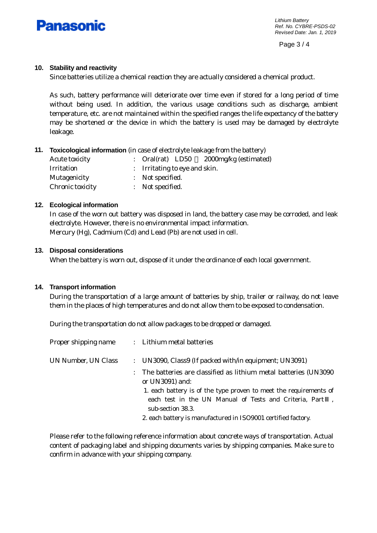

*Lithium Battery Ref. No. CYBRE-PSDS-02 Revised Date: Jan. 1, 2019*

Page 3 / 4

## **10. Stability and reactivity**

Since batteries utilize a chemical reaction they are actually considered a chemical product.

As such, battery performance will deteriorate over time even if stored for a long period of time without being used. In addition, the various usage conditions such as discharge, ambient temperature, etc. are not maintained within the specified ranges the life expectancy of the battery may be shortened or the device in which the battery is used may be damaged by electrolyte leakage.

## **11. Toxicological information** (in case of electrolyte leakage from the battery)

| <b>Acute toxicity</b> | 2000mg/kg (estimated)<br>: Oral $(rat)$ LD50 |
|-----------------------|----------------------------------------------|
| Irritation            | : Irritating to eye and skin.                |
| Mutagenicity          | : Not specified.                             |
| Chronic toxicity      | : Not specified.                             |

## **12. Ecological information**

In case of the worn out battery was disposed in land, the battery case may be corroded, and leak electrolyte. However, there is no environmental impact information. Mercury (Hg), Cadmium (Cd) and Lead (Pb) are not used in cell.

#### **13. Disposal considerations**

When the battery is worn out, dispose of it under the ordinance of each local government.

## **14. Transport information**

During the transportation of a large amount of batteries by ship, trailer or railway, do not leave them in the places of high temperatures and do not allow them to be exposed to condensation.

During the transportation do not allow packages to be dropped or damaged.

| Proper shipping name | : Lithium metal batteries                                                                                                                         |
|----------------------|---------------------------------------------------------------------------------------------------------------------------------------------------|
| UN Number, UN Class  | : UN3090, Class9 (If packed with/in equipment; UN3091)                                                                                            |
|                      | The batteries are classified as lithium metal batteries (UN3090)<br>or UN3091) and:                                                               |
|                      | 1. each battery is of the type proven to meet the requirements of<br>each test in the UN Manual of Tests and Criteria, Part,<br>sub-section 38.3. |
|                      | 2. each battery is manufactured in ISO9001 certified factory.                                                                                     |

Please refer to the following reference information about concrete ways of transportation. Actual content of packaging label and shipping documents varies by shipping companies. Make sure to confirm in advance with your shipping company.